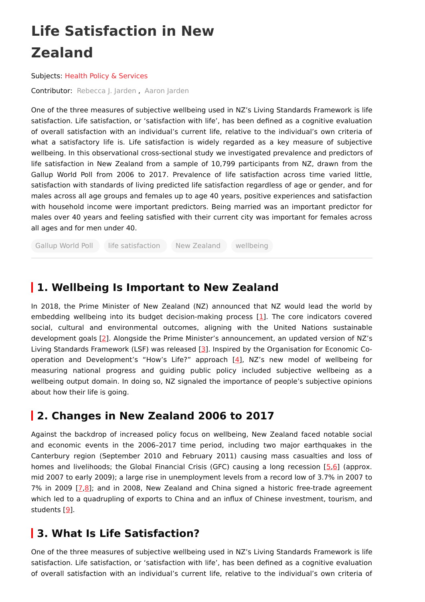# **Life Satisfaction in New Zealand**

#### Subjects: Health Policy & [Services](https://encyclopedia.pub/entry/subject/319)

Contributor: [Rebecca](https://sciprofiles.com/profile/2101834) J. Jarden , Aaron [Jarden](https://sciprofiles.com/profile/1403916)

One of the three measures of subjective wellbeing used in NZ's Living Standards Framework is life satisfaction. Life satisfaction, or 'satisfaction with life', has been defined as a cognitive evaluation of overall satisfaction with an individual's current life, relative to the individual's own criteria of what a satisfactory life is. Life satisfaction is widely regarded as a key measure of subjective wellbeing. In this observational cross-sectional study we investigated prevalence and predictors of life satisfaction in New Zealand from a sample of 10,799 participants from NZ, drawn from the Gallup World Poll from 2006 to 2017. Prevalence of life satisfaction across time varied little, satisfaction with standards of living predicted life satisfaction regardless of age or gender, and for males across all age groups and females up to age 40 years, positive experiences and satisfaction with household income were important predictors. Being married was an important predictor for males over 40 years and feeling satisfied with their current city was important for females across all ages and for men under 40.

Gallup World Poll life satisfaction New Zealand Wellbeing

## **1. Wellbeing Is Important to New Zealand**

In 2018, the Prime Minister of New Zealand (NZ) announced that NZ would lead the world by embedding wellbeing into its budget decision-making process [\[1](https://www.mdpi.com/1660-4601/19/9/5612/htm#B1-ijerph-19-05612)]. The core indicators covered social, cultural and environmental outcomes, aligning with the United Nations sustainable development goals [\[2](https://www.mdpi.com/1660-4601/19/9/5612/htm#B2-ijerph-19-05612)]. Alongside the Prime Minister's announcement, an updated version of NZ's Living Standards Framework (LSF) was released [\[3](https://www.mdpi.com/1660-4601/19/9/5612/htm#B3-ijerph-19-05612)]. Inspired by the Organisation for Economic Cooperation and Development's "How's Life?" approach  $[4]$  $[4]$ , NZ's new model of wellbeing for measuring national progress and guiding public policy included subjective wellbeing as a wellbeing output domain. In doing so, NZ signaled the importance of people's subjective opinions about how their life is going.

# **2. Changes in New Zealand 2006 to 2017**

Against the backdrop of increased policy focus on wellbeing, New Zealand faced notable social and economic events in the 2006–2017 time period, including two major earthquakes in the Canterbury region (September 2010 and February 2011) causing mass casualties and loss of homes and livelihoods; the Global Financial Crisis (GFC) causing a long recession [[5](https://www.mdpi.com/1660-4601/19/9/5612/htm#B5-ijerph-19-05612)[,6](https://www.mdpi.com/1660-4601/19/9/5612/htm#B6-ijerph-19-05612)] (approx. mid 2007 to early 2009); a large rise in unemployment levels from a record low of 3.7% in 2007 to [7](https://www.mdpi.com/1660-4601/19/9/5612/htm#B7-ijerph-19-05612)% in 2009  $[7,8]$  $[7,8]$  $[7,8]$ ; and in 2008, New Zealand and China signed a historic free-trade agreement which led to a quadrupling of exports to China and an influx of Chinese investment, tourism, and students [[9](https://www.mdpi.com/1660-4601/19/9/5612/htm#B9-ijerph-19-05612)].

### **3. What Is Life Satisfaction?**

One of the three measures of subjective wellbeing used in NZ's Living Standards Framework is life satisfaction. Life satisfaction, or 'satisfaction with life', has been defined as a cognitive evaluation of overall satisfaction with an individual's current life, relative to the individual's own criteria of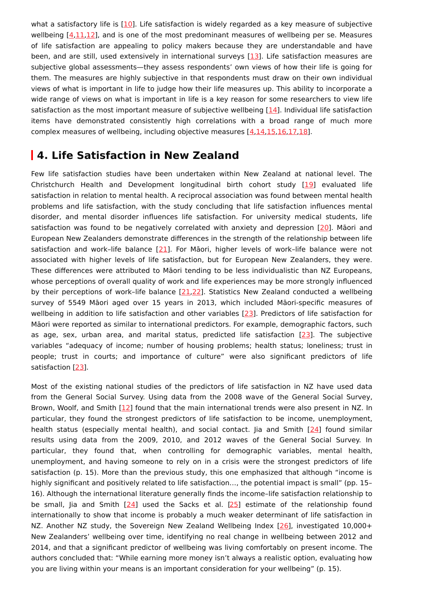what a satisfactory life is  $[10]$  $[10]$ . Life satisfaction is widely regarded as a key measure of subjective wellbeing  $[4,11,12]$  $[4,11,12]$  $[4,11,12]$  $[4,11,12]$ , and is one of the most predominant measures of wellbeing per se. Measures of life satisfaction are appealing to policy makers because they are understandable and have been, and are still, used extensively in international surveys [\[13](https://www.mdpi.com/1660-4601/19/9/5612/htm#B13-ijerph-19-05612)]. Life satisfaction measures are subjective global assessments—they assess respondents' own views of how their life is going for them. The measures are highly subjective in that respondents must draw on their own individual views of what is important in life to judge how their life measures up. This ability to incorporate a wide range of views on what is important in life is a key reason for some researchers to view life satisfaction as the most important measure of subjective wellbeing  $[14]$  $[14]$  $[14]$ . Individual life satisfaction items have demonstrated consistently high correlations with a broad range of much more complex measures of wellbeing, including objective measures  $[4,14,15,16,17,18]$  $[4,14,15,16,17,18]$  $[4,14,15,16,17,18]$  $[4,14,15,16,17,18]$  $[4,14,15,16,17,18]$  $[4,14,15,16,17,18]$  $[4,14,15,16,17,18]$  $[4,14,15,16,17,18]$  $[4,14,15,16,17,18]$  $[4,14,15,16,17,18]$ .

#### **4. Life Satisfaction in New Zealand**

Few life satisfaction studies have been undertaken within New Zealand at national level. The Christchurch Health and Development longitudinal birth cohort study [\[19](https://www.mdpi.com/1660-4601/19/9/5612/htm#B19-ijerph-19-05612)] evaluated life satisfaction in relation to mental health. A reciprocal association was found between mental health problems and life satisfaction, with the study concluding that life satisfaction influences mental disorder, and mental disorder influences life satisfaction. For university medical students, life satisfaction was found to be negatively correlated with anxiety and depression [\[20](https://www.mdpi.com/1660-4601/19/9/5612/htm#B20-ijerph-19-05612)]. Māori and European New Zealanders demonstrate differences in the strength of the relationship between life satisfaction and work–life balance [\[21](https://www.mdpi.com/1660-4601/19/9/5612/htm#B21-ijerph-19-05612)]. For Māori, higher levels of work–life balance were not associated with higher levels of life satisfaction, but for European New Zealanders, they were. These differences were attributed to Māori tending to be less individualistic than NZ Europeans, whose perceptions of overall quality of work and life experiences may be more strongly influenced by their perceptions of work-life balance [\[21](https://www.mdpi.com/1660-4601/19/9/5612/htm#B21-ijerph-19-05612)[,22](https://www.mdpi.com/1660-4601/19/9/5612/htm#B22-ijerph-19-05612)]. Statistics New Zealand conducted a wellbeing survey of 5549 Māori aged over 15 years in 2013, which included Māori-specific measures of wellbeing in addition to life satisfaction and other variables [\[23](https://www.mdpi.com/1660-4601/19/9/5612/htm#B23-ijerph-19-05612)]. Predictors of life satisfaction for Māori were reported as similar to international predictors. For example, demographic factors, such as age, sex, urban area, and marital status, predicted life satisfaction [\[23](https://www.mdpi.com/1660-4601/19/9/5612/htm#B23-ijerph-19-05612)]. The subjective variables "adequacy of income; number of housing problems; health status; loneliness; trust in people; trust in courts; and importance of culture" were also significant predictors of life satisfaction [\[23](https://www.mdpi.com/1660-4601/19/9/5612/htm#B23-ijerph-19-05612)].

Most of the existing national studies of the predictors of life satisfaction in NZ have used data from the General Social Survey. Using data from the 2008 wave of the General Social Survey, Brown, Woolf, and Smith [\[12](https://www.mdpi.com/1660-4601/19/9/5612/htm#B12-ijerph-19-05612)] found that the main international trends were also present in NZ. In particular, they found the strongest predictors of life satisfaction to be income, unemployment, health status (especially mental health), and social contact. Jia and Smith [\[24](https://www.mdpi.com/1660-4601/19/9/5612/htm#B24-ijerph-19-05612)] found similar results using data from the 2009, 2010, and 2012 waves of the General Social Survey. In particular, they found that, when controlling for demographic variables, mental health, unemployment, and having someone to rely on in a crisis were the strongest predictors of life satisfaction (p. 15). More than the previous study, this one emphasized that although "income is highly significant and positively related to life satisfaction…, the potential impact is small" (pp. 15– 16). Although the international literature generally finds the income–life satisfaction relationship to be small, Jia and Smith  $[24]$  $[24]$  used the Sacks et al.  $[25]$  $[25]$  estimate of the relationship found internationally to show that income is probably a much weaker determinant of life satisfaction in NZ. Another NZ study, the Sovereign New Zealand Wellbeing Index [[26\]](https://www.mdpi.com/1660-4601/19/9/5612/htm#B26-ijerph-19-05612), investigated 10,000+ New Zealanders' wellbeing over time, identifying no real change in wellbeing between 2012 and 2014, and that a significant predictor of wellbeing was living comfortably on present income. The authors concluded that: "While earning more money isn't always a realistic option, evaluating how you are living within your means is an important consideration for your wellbeing" (p. 15).